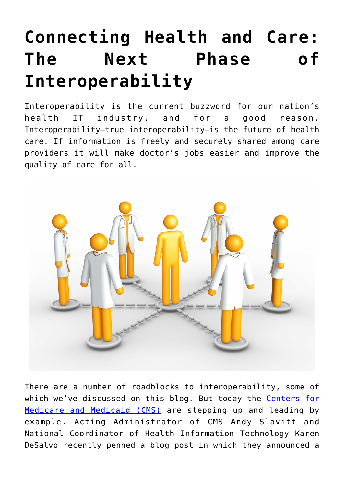## **[Connecting Health and Care:](https://www.cns-inc.com/insights/thought-leadership/connecting-health-and-care-the-next-phase-of-interoperability/) [The Next Phase of](https://www.cns-inc.com/insights/thought-leadership/connecting-health-and-care-the-next-phase-of-interoperability/) [Interoperability](https://www.cns-inc.com/insights/thought-leadership/connecting-health-and-care-the-next-phase-of-interoperability/)**

Interoperability is the current buzzword for our nation's health IT industry, and for a good reason. Interoperability–true interoperability–is the future of health care. If information is freely and securely shared among care providers it will make doctor's jobs easier and improve the quality of care for all.



There are a number of roadblocks to interoperability, some of which we've discussed on this blog. But today the [Centers for](https://www.cms.gov/) [Medicare and Medicaid \(CMS\)](https://www.cms.gov/) are stepping up and leading by example. Acting Administrator of CMS Andy Slavitt and National Coordinator of Health Information Technology Karen DeSalvo recently penned a blog post in which they announced a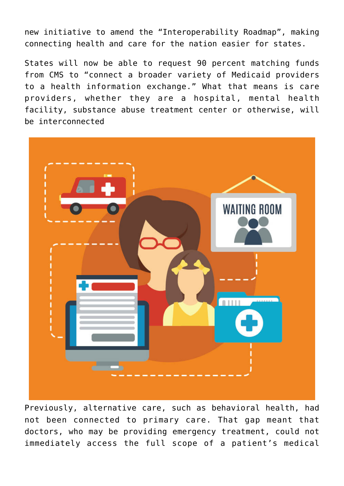new initiative to amend the "Interoperability Roadmap", making connecting health and care for the nation easier for states.

States will now be able to request 90 percent matching funds from CMS to "connect a broader variety of Medicaid providers to a health information exchange." What that means is care providers, whether they are a hospital, mental health facility, substance abuse treatment center or otherwise, will be interconnected



Previously, alternative care, such as behavioral health, had not been connected to primary care. That gap meant that doctors, who may be providing emergency treatment, could not immediately access the full scope of a patient's medical